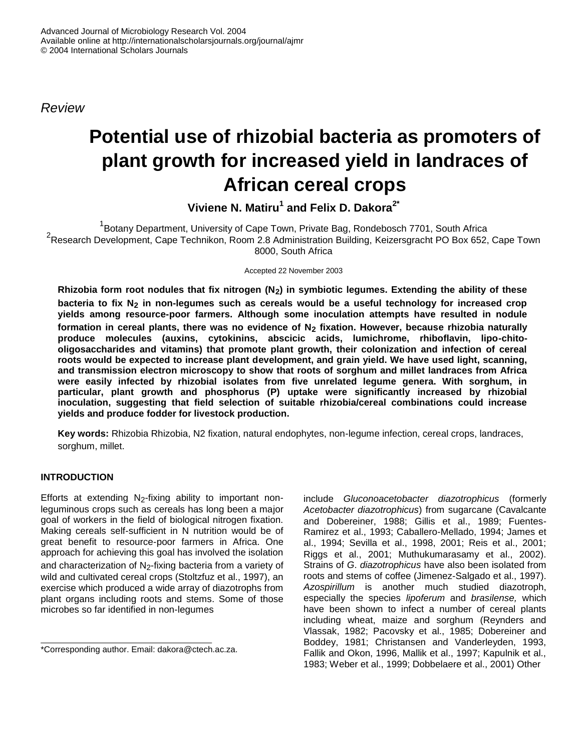*Review*

# **Potential use of rhizobial bacteria as promoters of plant growth for increased yield in landraces of African cereal crops**

**Viviene N. Matiru<sup>1</sup> and Felix D. Dakora2\***

<sup>1</sup>Botany Department, University of Cape Town, Private Bag, Rondebosch 7701, South Africa 2 Research Development, Cape Technikon, Room 2.8 Administration Building, Keizersgracht PO Box 652, Cape Town 8000, South Africa

Accepted 22 November 2003

**Rhizobia form root nodules that fix nitrogen (N2) in symbiotic legumes. Extending the ability of these bacteria to fix N2 in non-legumes such as cereals would be a useful technology for increased crop yields among resource-poor farmers. Although some inoculation attempts have resulted in nodule formation in cereal plants, there was no evidence of N2 fixation. However, because rhizobia naturally produce molecules (auxins, cytokinins, abscicic acids, lumichrome, rhiboflavin, lipo-chitooligosaccharides and vitamins) that promote plant growth, their colonization and infection of cereal roots would be expected to increase plant development, and grain yield. We have used light, scanning, and transmission electron microscopy to show that roots of sorghum and millet landraces from Africa were easily infected by rhizobial isolates from five unrelated legume genera. With sorghum, in particular, plant growth and phosphorus (P) uptake were significantly increased by rhizobial inoculation, suggesting that field selection of suitable rhizobia/cereal combinations could increase yields and produce fodder for livestock production.**

**Key words:** Rhizobia Rhizobia, N2 fixation, natural endophytes, non-legume infection, cereal crops, landraces, sorghum, millet.

### **INTRODUCTION**

Efforts at extending  $N_2$ -fixing ability to important nonleguminous crops such as cereals has long been a major goal of workers in the field of biological nitrogen fixation. Making cereals self-sufficient in N nutrition would be of great benefit to resource-poor farmers in Africa. One approach for achieving this goal has involved the isolation and characterization of  $N<sub>2</sub>$ -fixing bacteria from a variety of wild and cultivated cereal crops (Stoltzfuz et al., 1997), an exercise which produced a wide array of diazotrophs from plant organs including roots and stems. Some of those microbes so far identified in non-legumes

include *Gluconoacetobacter diazotrophicus* (formerly *Acetobacter diazotrophicus*) from sugarcane (Cavalcante and Dobereiner, 1988; Gillis et al., 1989; Fuentes-Ramirez et al., 1993; Caballero-Mellado, 1994; James et al., 1994; Sevilla et al., 1998, 2001; Reis et al., 2001; Riggs et al., 2001; Muthukumarasamy et al., 2002). Strains of *G*. *diazotrophicus* have also been isolated from roots and stems of coffee (Jimenez-Salgado et al., 1997). *Azospirillum* is another much studied diazotroph, especially the species *lipoferum* and *brasilense,* which have been shown to infect a number of cereal plants including wheat, maize and sorghum (Reynders and Vlassak, 1982; Pacovsky et al., 1985; Dobereiner and Boddey, 1981; Christansen and Vanderleyden, 1993, Fallik and Okon, 1996, Mallik et al., 1997; Kapulnik et al., 1983; Weber et al., 1999; Dobbelaere et al., 2001) Other

<sup>\*</sup>Corresponding author. Email: dakora@ctech.ac.za.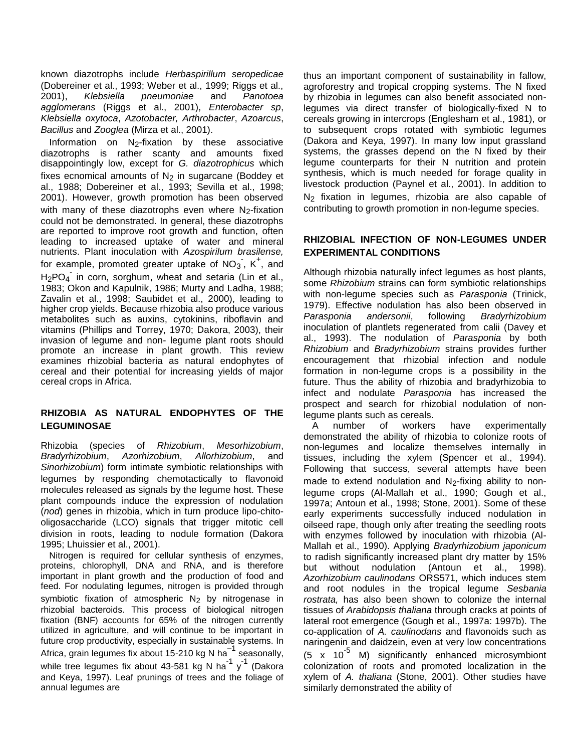known diazotrophs include *Herbaspirillum seropedicae* (Dobereiner et al., 1993; Weber et al., 1999; Riggs et al., 2001), *Klebsiella pneumoniae* and *Panotoea agglomerans* (Riggs et al., 2001), *Enterobacter sp*, *Klebsiella oxytoca*, *Azotobacter, Arthrobacter*, *Azoarcus*, *Bacillus* and *Zooglea* (Mirza et al., 2001).

Information on  $N_2$ -fixation by these associative diazotrophs is rather scanty and amounts fixed disappointingly low, except for *G. diazotrophicus* which fixes ecnomical amounts of  $N_2$  in sugarcane (Boddey et al., 1988; Dobereiner et al., 1993; Sevilla et al., 1998; 2001). However, growth promotion has been observed with many of these diazotrophs even where  $N<sub>2</sub>$ -fixation could not be demonstrated. In general, these diazotrophs are reported to improve root growth and function, often leading to increased uptake of water and mineral nutrients. Plant inoculation with *Azospirilum brasilense,* for example, promoted greater uptake of NO<sub>3</sub>, K<sup>+</sup>, and H<sub>2</sub>PO<sub>4</sub> in corn, sorghum, wheat and setaria (Lin et al., 1983; Okon and Kapulnik, 1986; Murty and Ladha, 1988; Zavalin et al., 1998; Saubidet et al., 2000), leading to higher crop yields. Because rhizobia also produce various metabolites such as auxins, cytokinins, riboflavin and vitamins (Phillips and Torrey, 1970; Dakora, 2003), their invasion of legume and non- legume plant roots should promote an increase in plant growth. This review examines rhizobial bacteria as natural endophytes of cereal and their potential for increasing yields of major cereal crops in Africa.

## **RHIZOBIA AS NATURAL ENDOPHYTES OF THE LEGUMINOSAE**

Rhizobia (species of *Rhizobium*, *Mesorhizobium*, *Bradyrhizobium*, *Azorhizobium*, *Allorhizobium*, and *Sinorhizobium*) form intimate symbiotic relationships with legumes by responding chemotactically to flavonoid molecules released as signals by the legume host. These plant compounds induce the expression of nodulation (*nod*) genes in rhizobia, which in turn produce lipo-chitooligosaccharide (LCO) signals that trigger mitotic cell division in roots, leading to nodule formation (Dakora 1995; Lhuissier et al., 2001).

Nitrogen is required for cellular synthesis of enzymes, proteins, chlorophyll, DNA and RNA, and is therefore important in plant growth and the production of food and feed. For nodulating legumes, nitrogen is provided through symbiotic fixation of atmospheric  $N_2$  by nitrogenase in rhizobial bacteroids. This process of biological nitrogen fixation (BNF) accounts for 65% of the nitrogen currently utilized in agriculture, and will continue to be important in future crop productivity, especially in sustainable systems. In Africa, grain legumes fix about 15-210 kg N ha<sup>-1</sup> seasonally, while tree legumes fix about 43-581 kg N ha<sup>1</sup> y<sup>1</sup> (Dakora and Keya, 1997). Leaf prunings of trees and the foliage of annual legumes are

thus an important component of sustainability in fallow, agroforestry and tropical cropping systems. The N fixed by rhizobia in legumes can also benefit associated nonlegumes via direct transfer of biologically-fixed N to cereals growing in intercrops (Englesham et al., 1981), or to subsequent crops rotated with symbiotic legumes (Dakora and Keya, 1997). In many low input grassland systems, the grasses depend on the N fixed by their legume counterparts for their N nutrition and protein synthesis, which is much needed for forage quality in livestock production (Paynel et al., 2001). In addition to N<sub>2</sub> fixation in legumes, rhizobia are also capable of contributing to growth promotion in non-legume species.

### **RHIZOBIAL INFECTION OF NON-LEGUMES UNDER EXPERIMENTAL CONDITIONS**

Although rhizobia naturally infect legumes as host plants, some *Rhizobium* strains can form symbiotic relationships with non-legume species such as *Parasponia* (Trinick, 1979). Effective nodulation has also been observed in *Parasponia andersonii*, following *Bradyrhizobium*  inoculation of plantlets regenerated from calii (Davey et al., 1993). The nodulation of *Parasponia* by both *Rhizobium* and *Bradyrhizobium* strains provides further encouragement that rhizobial infection and nodule formation in non-legume crops is a possibility in the future. Thus the ability of rhizobia and bradyrhizobia to infect and nodulate *Parasponia* has increased the prospect and search for rhizobial nodulation of nonlegume plants such as cereals.

A number of workers have experimentally demonstrated the ability of rhizobia to colonize roots of non-legumes and localize themselves internally in tissues, including the xylem (Spencer et al., 1994). Following that success, several attempts have been made to extend nodulation and  $N<sub>2</sub>$ -fixing ability to nonlegume crops (Al-Mallah et al., 1990; Gough et al., 1997a; Antoun et al., 1998; Stone, 2001). Some of these early experiments successfully induced nodulation in oilseed rape, though only after treating the seedling roots with enzymes followed by inoculation with rhizobia (Al-Mallah et al., 1990). Applying *Bradyrhizobium japonicum* to radish significantly increased plant dry matter by 15% but without nodulation (Antoun et al., 1998). *Azorhizobium caulinodans* ORS571, which induces stem and root nodules in the tropical legume *Sesbania rostrata,* has also been shown to colonize the internal tissues of *Arabidopsis thaliana* through cracks at points of lateral root emergence (Gough et al., 1997a: 1997b). The co-application of *A. caulinodans* and flavonoids such as naringenin and daidzein, even at very low concentrations  $(5 \times 10^{-5} \text{ M})$  significantly enhanced microsymbiont colonization of roots and promoted localization in the xylem of *A. thaliana* (Stone, 2001). Other studies have similarly demonstrated the ability of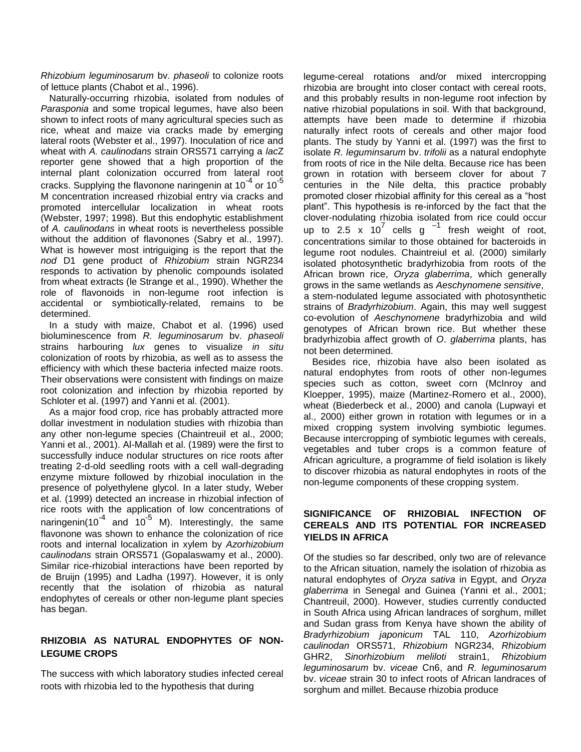*Rhizobium leguminosarum* bv. *phaseoli* to colonize roots of lettuce plants (Chabot et al., 1996).

Naturally-occurring rhizobia, isolated from nodules of *Parasponia* and some tropical legumes, have also been shown to infect roots of many agricultural species such as rice, wheat and maize via cracks made by emerging lateral roots (Webster et al., 1997). Inoculation of rice and wheat with *A. caulinodans* strain ORS571 carrying a *lac*Z reporter gene showed that a high proportion of the internal plant colonization occurred from lateral root cracks. Supplying the flavonone naringenin at 10<sup>-4</sup> or 10<sup>-5</sup> M concentration increased rhizobial entry via cracks and promoted intercellular localization in wheat roots (Webster, 1997; 1998). But this endophytic establishment of *A. caulinodans* in wheat roots is nevertheless possible without the addition of flavonones (Sabry et al., 1997). What is however most intriguiging is the report that the *nod* D1 gene product of *Rhizobium* strain NGR234 responds to activation by phenolic compounds isolated from wheat extracts (le Strange et al., 1990). Whether the role of flavonoids in non-legume root infection is accidental or symbiotically-related, remains to be determined.

In a study with maize, Chabot et al. (1996) used bioluminescence from *R. leguminosarum* bv. *phaseoli* strains harbouring *lux* genes to visualize *in situ* colonization of roots by rhizobia, as well as to assess the efficiency with which these bacteria infected maize roots. Their observations were consistent with findings on maize root colonization and infection by rhizobia reported by Schloter et al. (1997) and Yanni et al. (2001).

As a major food crop, rice has probably attracted more dollar investment in nodulation studies with rhizobia than any other non-legume species (Chaintreuil et al., 2000; Yanni et al., 2001). Al-Mallah et al. (1989) were the first to successfully induce nodular structures on rice roots after treating 2-d-old seedling roots with a cell wall-degrading enzyme mixture followed by rhizobial inoculation in the presence of polyethylene glycol. In a later study, Weber et al. (1999) detected an increase in rhizobial infection of rice roots with the application of low concentrations of naringenin(10<sup>-4</sup> and 10<sup>-5</sup> M). Interestingly, the same flavonone was shown to enhance the colonization of rice roots and internal localization in xylem by *Azorhizobium caulinodans* strain ORS571 (Gopalaswamy et al., 2000). Similar rice-rhizobial interactions have been reported by de Bruijn (1995) and Ladha (1997). However, it is only recently that the isolation of rhizobia as natural endophytes of cereals or other non-legume plant species has began.

### **RHIZOBIA AS NATURAL ENDOPHYTES OF NON-LEGUME CROPS**

The success with which laboratory studies infected cereal roots with rhizobia led to the hypothesis that during

legume-cereal rotations and/or mixed intercropping rhizobia are brought into closer contact with cereal roots, and this probably results in non-legume root infection by native rhizobial populations in soil. With that background, attempts have been made to determine if rhizobia naturally infect roots of cereals and other major food plants. The study by Yanni et al. (1997) was the first to isolate *R. leguminsarum* bv. *trifolii* as a natural endophyte from roots of rice in the Nile delta. Because rice has been grown in rotation with berseem clover for about 7 centuries in the Nile delta, this practice probably promoted closer rhizobial affinity for this cereal as a "host plant". This hypothesis is re-inforced by the fact that the clover-nodulating rhizobia isolated from rice could occur up to 2.5 x  $10^7$  cells g  $^{-1}$  fresh weight of root, concentrations similar to those obtained for bacteroids in legume root nodules. Chaintreiul et al. (2000) similarly isolated photosynthetic bradyrhizobia from roots of the African brown rice, *Oryza glaberrima*, which generally grows in the same wetlands as *Aeschynomene sensitive*, a stem-nodulated legume associated with photosynthetic strains of *Bradyrhizobium*. Again, this may well suggest co-evolution of *Aeschynomene* bradyrhizobia and wild genotypes of African brown rice. But whether these bradyrhizobia affect growth of *O*. *glaberrima* plants, has not been determined.

Besides rice, rhizobia have also been isolated as natural endophytes from roots of other non-legumes species such as cotton, sweet corn (McInroy and Kloepper, 1995), maize (Martinez-Romero et al., 2000), wheat (Biederbeck et al., 2000) and canola (Lupwayi et al., 2000) either grown in rotation with legumes or in a mixed cropping system involving symbiotic legumes. Because intercropping of symbiotic legumes with cereals, vegetables and tuber crops is a common feature of African agriculture, a programme of field isolation is likely to discover rhizobia as natural endophytes in roots of the non-legume components of these cropping system.

#### **SIGNIFICANCE OF RHIZOBIAL INFECTION OF CEREALS AND ITS POTENTIAL FOR INCREASED YIELDS IN AFRICA**

Of the studies so far described, only two are of relevance to the African situation, namely the isolation of rhizobia as natural endophytes of *Oryza sativa* in Egypt, and *Oryza glaberrima* in Senegal and Guinea (Yanni et al., 2001; Chantreuil, 2000). However, studies currently conducted in South Africa using African landraces of sorghum, millet and Sudan grass from Kenya have shown the ability of *Bradyrhizobium japonicum* TAL 110, *Azorhizobium caulinodan* ORS571, *Rhizobium* NGR234, *Rhizobium*  GHR2, *Sinorhizobium meliloti* strain1, *Rhizobium leguminosarum* bv. *viceae* Cn6, and *R. leguminosarum*  bv. *viceae* strain 30 to infect roots of African landraces of sorghum and millet. Because rhizobia produce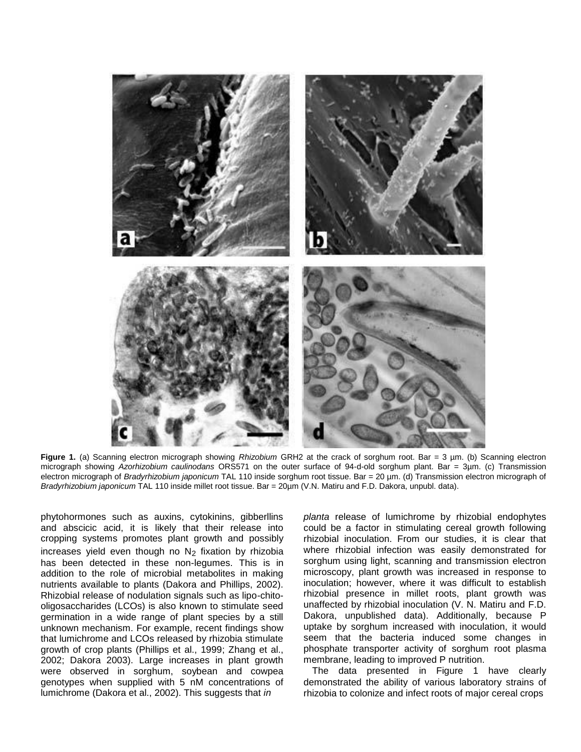

**Figure 1.** (a) Scanning electron micrograph showing *Rhizobium* GRH2 at the crack of sorghum root. Bar = 3 µm. (b) Scanning electron micrograph showing *Azorhizobium caulinodans* ORS571 on the outer surface of 94-d-old sorghum plant. Bar = 3µm. (c) Transmission electron micrograph of *Bradyrhizobium japonicum* TAL 110 inside sorghum root tissue. Bar = 20 µm. (d) Transmission electron micrograph of *Bradyrhizobium japonicum* TAL 110 inside millet root tissue. Bar = 20µm (V.N. Matiru and F.D. Dakora, unpubl. data).

phytohormones such as auxins, cytokinins, gibberllins and abscicic acid, it is likely that their release into cropping systems promotes plant growth and possibly increases yield even though no  $N<sub>2</sub>$  fixation by rhizobia has been detected in these non-legumes. This is in addition to the role of microbial metabolites in making nutrients available to plants (Dakora and Phillips, 2002). Rhizobial release of nodulation signals such as lipo-chitooligosaccharides (LCOs) is also known to stimulate seed germination in a wide range of plant species by a still unknown mechanism. For example, recent findings show that lumichrome and LCOs released by rhizobia stimulate growth of crop plants (Phillips et al., 1999; Zhang et al., 2002; Dakora 2003). Large increases in plant growth were observed in sorghum, soybean and cowpea genotypes when supplied with 5 nM concentrations of lumichrome (Dakora et al., 2002). This suggests that *in*

*planta* release of lumichrome by rhizobial endophytes could be a factor in stimulating cereal growth following rhizobial inoculation. From our studies, it is clear that where rhizobial infection was easily demonstrated for sorghum using light, scanning and transmission electron microscopy, plant growth was increased in response to inoculation; however, where it was difficult to establish rhizobial presence in millet roots, plant growth was unaffected by rhizobial inoculation (V. N. Matiru and F.D. Dakora, unpublished data). Additionally, because P uptake by sorghum increased with inoculation, it would seem that the bacteria induced some changes in phosphate transporter activity of sorghum root plasma membrane, leading to improved P nutrition.

The data presented in Figure 1 have clearly demonstrated the ability of various laboratory strains of rhizobia to colonize and infect roots of major cereal crops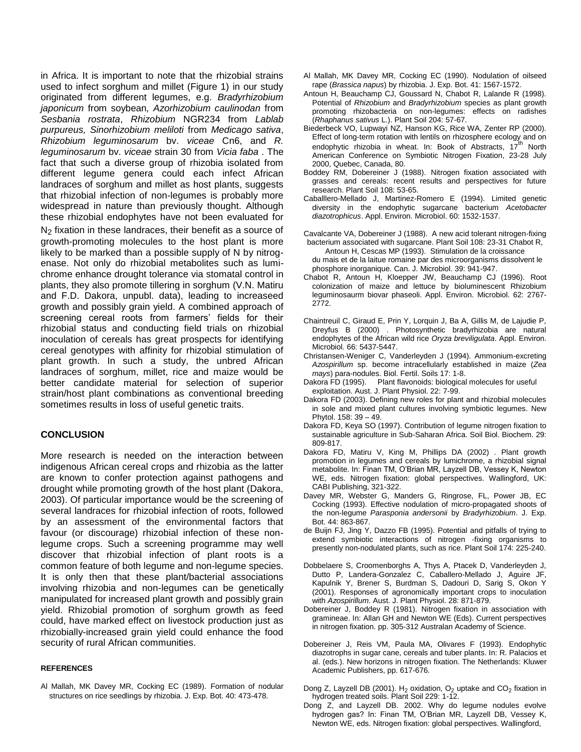in Africa. It is important to note that the rhizobial strains used to infect sorghum and millet (Figure 1) in our study originated from different legumes, e.g. *Bradyrhizobium japonicum* from soybean*, Azorhizobium caulinodan* from *Sesbania rostrata*, *Rhizobium* NGR234 from *Lablab purpureus, Sinorhizobium meliloti* from *Medicago sativa*, *Rhizobium leguminosarum* bv. *viceae* Cn6, and *R. leguminosarum* bv. *viceae* strain 30 from *Vicia faba* . The fact that such a diverse group of rhizobia isolated from different legume genera could each infect African landraces of sorghum and millet as host plants, suggests that rhizobial infection of non-legumes is probably more widespread in nature than previously thought. Although these rhizobial endophytes have not been evaluated for  $N<sub>2</sub>$  fixation in these landraces, their benefit as a source of growth-promoting molecules to the host plant is more likely to be marked than a possible supply of N by nitrogenase. Not only do rhizobial metabolites such as lumichrome enhance drought tolerance via stomatal control in plants, they also promote tillering in sorghum (V.N. Matiru and F.D. Dakora, unpubl. data), leading to increaseed growth and possibly grain yield. A combined approach of screening cereal roots from farmers' fields for their rhizobial status and conducting field trials on rhizobial inoculation of cereals has great prospects for identifying cereal genotypes with affinity for rhizobial stimulation of plant growth. In such a study, the unbred African landraces of sorghum, millet, rice and maize would be better candidate material for selection of superior strain/host plant combinations as conventional breeding sometimes results in loss of useful genetic traits.

#### **CONCLUSION**

More research is needed on the interaction between indigenous African cereal crops and rhizobia as the latter are known to confer protection against pathogens and drought while promoting growth of the host plant (Dakora, 2003). Of particular importance would be the screening of several landraces for rhizobial infection of roots, followed by an assessment of the environmental factors that favour (or discourage) rhizobial infection of these nonlegume crops. Such a screening programme may well discover that rhizobial infection of plant roots is a common feature of both legume and non-legume species. It is only then that these plant/bacterial associations involving rhizobia and non-legumes can be genetically manipulated for increased plant growth and possibly grain yield. Rhizobial promotion of sorghum growth as feed could, have marked effect on livestock production just as rhizobially-increased grain yield could enhance the food security of rural African communities.

#### **REFERENCES**

Al Mallah, MK Davey MR, Cocking EC (1989). Formation of nodular structures on rice seedlings by rhizobia. J. Exp. Bot. 40: 473-478.

- Al Mallah, MK Davey MR, Cocking EC (1990). Nodulation of oilseed rape (*Brassica napus*) by rhizobia. J. Exp. Bot. 41: 1567-1572.
- Antoun H, Beauchamp CJ, Goussard N, Chabot R, Lalande R (1998). Potential of *Rhizobium* and *Bradyrhizobium* species as plant growth promoting rhizobacteria on non-legumes: effects on radishes (*Rhaphanus sativus* L.). Plant Soil 204: 57-67.
- Biederbeck VO, Lupwayi NZ, Hanson KG, Rice WA, Zenter RP (2000). Effect of long-term rotation with lentils on rhizosphere ecology and on endophytic rhizobia in wheat. In: Book of Abstracts,  $17<sup>th</sup>$  North American Conference on Symbiotic Nitrogen Fixation, 23-28 July 2000, Quebec, Canada, 80.
- Boddey RM, Dobereiner J (1988). Nitrogen fixation associated with grasses and cereals: recent results and perspectives for future research. Plant Soil 108: 53-65.
- Caballlero-Mellado J, Martinez-Romero E (1994). Limited genetic diversity in the endophytic sugarcane bacterium *Acetobacter diazotrophicus*. Appl. Environ. Microbiol. 60: 1532-1537.
- Cavalcante VA, Dobereiner J (1988). A new acid tolerant nitrogen-fixing bacterium associated with sugarcane. Plant Soil 108: 23-31 Chabot R, Antoun H, Cescas MP (1993). Stimulation de la croissance du mais et de la laitue romaine par des microorganisms dissolvent le phosphore inorganique. Can. J. Microbiol. 39: 941-947.
- Chabot R, Antoun H, Kloepper JW, Beauchamp CJ (1996). Root colonization of maize and lettuce by bioluminescent Rhizobium leguminosaurm biovar phaseoli. Appl. Environ. Microbiol. 62: 2767- 2772.
- Chaintreuil C, Giraud E, Prin Y, Lorquin J, Ba A, Gillis M, de Lajudie P, Dreyfus B (2000) . Photosynthetic bradyrhizobia are natural endophytes of the African wild rice *Oryza breviligulata*. Appl. Environ. Microbiol. 66: 5437-5447.
- Christansen-Weniger C, Vanderleyden J (1994). Ammonium-excreting *Azospirillum* sp. become intracellularly established in maize (*Zea mays*) para-nodules. Biol. Fertil. Soils 17: 1-8.
- Dakora FD (1995). Plant flavonoids: biological molecules for useful exploitation. Aust. J. Plant Physiol. 22: 7-99.
- Dakora FD (2003). Defining new roles for plant and rhizobial molecules in sole and mixed plant cultures involving symbiotic legumes. New Phytol. 158: 39 – 49.
- Dakora FD, Keya SO (1997). Contribution of legume nitrogen fixation to sustainable agriculture in Sub-Saharan Africa. Soil Biol. Biochem. 29: 809-817.
- Dakora FD, Matiru V, King M, Phillips DA (2002) . Plant growth promotion in legumes and cereals by lumichrome, a rhizobial signal metabolite. In: Finan TM, O'Brian MR, Layzell DB, Vessey K, Newton WE, eds. Nitrogen fixation: global perspectives. Wallingford, UK: CABI Publishing, 321-322.
- Davey MR, Webster G, Manders G, Ringrose, FL, Power JB, EC Cocking (1993). Effective nodulation of micro-propagated shoots of the non-legume *Parasponia andersonii* by *Bradyrhizobium*. J. Exp. Bot. 44: 863-867.
- de Buijn FJ, Jing Y, Dazzo FB (1995). Potential and pitfalls of trying to extend symbiotic interactions of nitrogen -fixing organisms to presently non-nodulated plants, such as rice. Plant Soil 174: 225-240.
- Dobbelaere S, Croomenborghs A, Thys A, Ptacek D, Vanderleyden J, Dutto P, Landera-Gonzalez C, Caballero-Mellado J, Aguire JF, Kapulnik Y, Brener S, Burdman S, Dadouri D, Sarig S, Okon Y (2001). Responses of agronomically important crops to inoculation with *Azospirillum*. Aust. J. Plant Physiol. 28: 871-879.
- Dobereiner J, Boddey R (1981). Nitrogen fixation in association with gramineae. In: Allan GH and Newton WE (Eds). Current perspectives in nitrogen fixation. pp. 305-312 Australan Academy of Science.
- Dobereiner J, Reis VM, Paula MA, Olivares F (1993). Endophytic diazotrophs in sugar cane, cereals and tuber plants. In: R. Palacios et al. (eds.). New horizons in nitrogen fixation. The Netherlands: Kluwer Academic Publishers, pp. 617-676.
- Dong Z, Layzell DB (2001). H<sub>2</sub> oxidation, O<sub>2</sub> uptake and  $CO_2$  fixation in hydrogen treated soils. Plant Soil 229: 1-12.
- Dong Z, and Layzell DB. 2002. Why do legume nodules evolve hydrogen gas? In: Finan TM, O'Brian MR, Layzell DB, Vessey K, Newton WE, eds. Nitrogen fixation: global perspectives. Wallingford,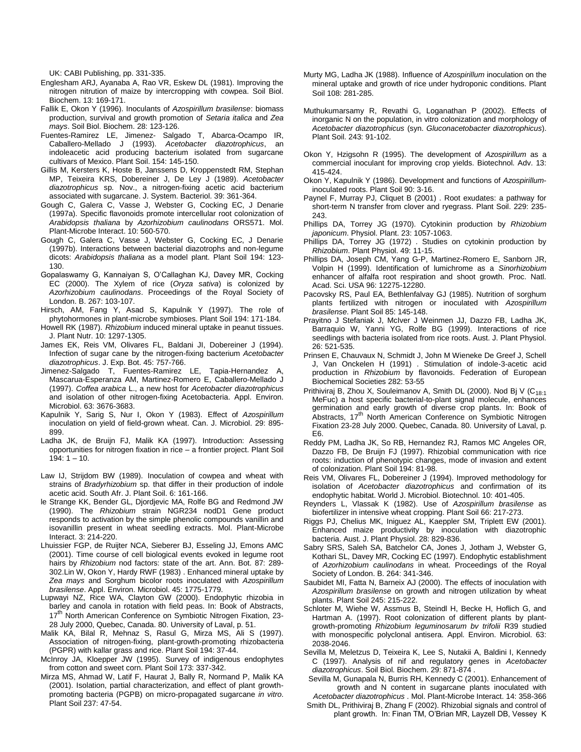UK: CABI Publishing, pp. 331-335.

- Englesham ARJ, Ayanaba A, Rao VR, Eskew DL (1981). Improving the nitrogen nitrution of maize by intercropping with cowpea. Soil Biol. Biochem. 13: 169-171.
- Fallik E, Okon Y (1996). Inoculants of *Azospirillum brasilense*: biomass production, survival and growth promotion of *Setaria italica* and *Zea mays*. Soil Biol. Biochem. 28: 123-126.
- Fuentes-Ramirez LE, Jimenez- Salgado T, Abarca-Ocampo IR, Caballero-Mellado J (1993). *Acetobacter diazotrophicus*, an indoleacetic acid producing bacterium isolated from sugarcane cultivars of Mexico. Plant Soil. 154: 145-150.
- Gillis M, Kersters K, Hoste B, Janssens D, Kroppenstedt RM, Stephan MP, Teixeira KRS, Dobereiner J, De Ley J (1989). *Acetobacter diazotrophicus* sp. Nov., a nitrogen-fixing acetic acid bacterium associated with sugarcane. J. System. Bacteriol. 39: 361-364.
- Gough C, Galera C, Vasse J, Webster G, Cocking EC, J Denarie (1997a). Specific flavonoids promote intercellular root colonization of *Arabidopsis thaliana* by *Azorhizobium caulinodans* ORS571. Mol. Plant-Microbe Interact. 10: 560-570.
- Gough C, Galera C, Vasse J, Webster G, Cocking EC, J Denarie (1997b). Interactions between bacterial diazotrophs and non-legume dicots: *Arabidopsis thaliana* as a model plant. Plant Soil 194: 123- 130.
- Gopalaswamy G, Kannaiyan S, O'Callaghan KJ, Davey MR, Cocking EC (2000). The Xylem of rice (*Oryza sativa*) is colonized by *Azorhizobium caulinodans*. Proceedings of the Royal Society of London. B. 267: 103-107.
- Hirsch, AM, Fang Y, Asad S, Kapulnik Y (1997). The role of phytohormones in plant-microbe symbioses. Plant Soil 194: 171-184.
- Howell RK (1987). *Rhizobium* induced mineral uptake in peanut tissues. J. Plant Nutr. 10: 1297-1305.
- James EK, Reis VM, Olivares FL, Baldani JI, Dobereiner J (1994). Infection of sugar cane by the nitrogen-fixing bacterium *Acetobacter diazotrophicus*. J. Exp. Bot. 45: 757-766.
- Jimenez-Salgado T, Fuentes-Ramirez LE, Tapia-Hernandez A, Mascarua-Esperanza AM, Martinez-Romero E, Caballero-Mellado J (1997). *Coffea arabica* L., a new host for *Acetobacter diazotrophicus* and isolation of other nitrogen-fixing Acetobacteria. Appl. Environ. Microbiol. 63: 3676-3683.
- Kapulnik Y, Sarig S, Nur I, Okon Y (1983). Effect of *Azospirillum* inoculation on yield of field-grown wheat. Can. J. Microbiol. 29: 895- 899.
- Ladha JK, de Bruijn FJ, Malik KA (1997). Introduction: Assessing opportunities for nitrogen fixation in rice – a frontier project. Plant Soil  $194: 1 - 10.$
- Law IJ, Strijdom BW (1989). Inoculation of cowpea and wheat with strains of *Bradyrhizobium* sp. that differ in their production of indole acetic acid. South Afr. J. Plant Soil. 6: 161-166.
- le Strange KK, Bender GL, Djordjevic MA, Rolfe BG and Redmond JW (1990). The *Rhizobium* strain NGR234 nodD1 Gene product responds to activation by the simple phenolic compounds vanillin and isovanillin present in wheat seedling extracts. Mol. Plant-Microbe Interact. 3: 214-220.
- Lhuissier FGP, de Ruijter NCA, Sieberer BJ, Esseling JJ, Emons AMC (2001). Time course of cell biological events evoked in legume root hairs by *Rhizobium* nod factors: state of the art. Ann. Bot. 87: 289- 302.Lin W, Okon Y, Hardy RWF (1983) . Enhanced mineral uptake by *Zea mays* and Sorghum bicolor roots inoculated with *Azospirillum brasilense*. Appl. Environ. Microbiol. 45: 1775-1779.
- Lupwayi NZ, Rice WA, Clayton GW (2000). Endophytic rhizobia in barley and canola in rotation with field peas. In: Book of Abstracts, 17<sup>th</sup> North American Conference on Symbiotic Nitrogen Fixation, 23-28 July 2000, Quebec, Canada. 80. University of Laval, p. 51.
- Malik KA, Bilal R, Mehnaz S, Rasul G, Mirza MS, Ali S (1997). Association of nitrogen-fixing, plant-growth-promoting rhizobacteria (PGPR) with kallar grass and rice. Plant Soil 194: 37-44.
- McInroy JA, Kloepper JW (1995). Survey of indigenous endophytes from cotton and sweet corn. Plant Soil 173: 337-342.
- Mirza MS, Ahmad W, Latif F, Haurat J, Bally R, Normand P, Malik KA (2001). Isolation, partial characterization, and effect of plant growthpromoting bacteria (PGPB) on micro-propagated sugarcane *in vitro*. Plant Soil 237: 47-54.
- Murty MG, Ladha JK (1988). Influence of *Azospirillum* inoculation on the mineral uptake and growth of rice under hydroponic conditions. Plant Soil 108: 281-285.
- Muthukumarsamy R, Revathi G, Loganathan P (2002). Effects of inorganic N on the population, in vitro colonization and morphology of *Acetobacter diazotrophicus* (syn. *Gluconacetobacter diazotrophicus*). Plant Soil. 243: 91-102.
- Okon Y, Hzigsohn R (1995). The development of *Azospirillum* as a commercial inoculant for improving crop yields. Biotechnol. Adv. 13: 415-424.
- Okon Y, Kapulnik Y (1986). Development and functions of *Azospirillum*inoculated roots. Plant Soil 90: 3-16.
- Paynel F, Murray PJ, Cliquet B (2001) . Root exudates: a pathway for short-term N transfer from clover and ryegrass. Plant Soil. 229: 235- 243.
- Phillips DA, Torrey JG (1970). Cytokinin production by *Rhizobium japonicum*. Physiol. Plant. 23: 1057-1063.
- Phillips DA, Torrey JG (1972) . Studies on cytokinin production by *Rhizobium*. Plant Physiol. 49: 11-15.
- Phillips DA, Joseph CM, Yang G-P, Martinez-Romero E, Sanborn JR, Volpin H (1999). Identification of lumichrome as a *Sinorhizobium* enhancer of alfalfa root respiration and shoot growth. Proc. Natl. Acad. Sci. USA 96: 12275-12280.
- Pacovsky RS, Paul EA, Bethlenfalvay GJ (1985). Nutrition of sorghum plants fertilized with nitrogen or inoculated with *Azospirillum brasilense*. Plant Soil 85: 145-148.
- Prayitno J Stefaniak J, McIver J Weinmen JJ, Dazzo FB, Ladha JK, Barraquio W, Yanni YG, Rolfe BG (1999). Interactions of rice seedlings with bacteria isolated from rice roots. Aust. J. Plant Physiol. 26: 521-535.
- Prinsen E, Chauvaux N, Schmidt J, John M Wieneke De Greef J, Schell J, Van Onckelen H (1991) . Stimulation of indole-3-acetic acid production in *Rhizobium* by flavonoids. Federation of European Biochemical Societies 282: 53-55
- Prithiviraj B, Zhou X, Souleimanov A, Smith DL (2000). Nod Bj V ( $C_{18:1}$ MeFuc) a host specific bacterial-to-plant signal molecule, enhances germination and early growth of diverse crop plants. In: Book of Abstracts, 17<sup>th</sup> North American Conference on Symbiotic Nitrogen Fixation 23-28 July 2000. Quebec, Canada. 80. University of Laval, p. E6.
- Reddy PM, Ladha JK, So RB, Hernandez RJ, Ramos MC Angeles OR, Dazzo FB, De Bruijn FJ (1997). Rhizobial communication with rice roots: induction of phenotypic changes, mode of invasion and extent of colonization. Plant Soil 194: 81-98.
- Reis VM, Olivares FL, Dobereiner J (1994). Improved methodology for isolation of *Acetobacter diazotrophicus* and confirmation of its endophytic habitat. World J. Microbiol. Biotechnol. 10: 401-405.
- Reynders L, Vlassak K (1982). Use of *Azospirillum brasilense* as biofertilizer in intensive wheat cropping. Plant Soil 66: 217-273.
- Riggs PJ, Chelius MK, Iniguez AL, Kaeppler SM, Triplett EW (2001). Enhanced maize productivity by inoculation with diazotrophic bacteria. Aust. J. Plant Physiol. 28: 829-836.
- Sabry SRS, Saleh SA, Batchelor CA, Jones J, Jotham J, Webster G, Kothari SL, Davey MR, Cocking EC (1997). Endophytic establishment of *Azorhizobium caulinodans* in wheat. Proceedings of the Royal Society of London. B. 264: 341-346.
- Saubidet MI, Fatta N, Barneix AJ (2000). The effects of inoculation with *Azospirillum brasilense* on growth and nitrogen utilization by wheat plants. Plant Soil 245: 215-222.
- Schloter M, Wiehe W, Assmus B, Steindl H, Becke H, Hoflich G, and Hartman A. (1997). Root colonization of different plants by plantgrowth-promoting *Rhizobium leguminosarum bv trifolii* R39 studied with monospecific polyclonal antisera. Appl. Environ. Microbiol. 63: 2038-2046.
- Sevilla M, Meletzus D, Teixeira K, Lee S, Nutakii A, Baldini I, Kennedy C (1997). Analysis of nif and regulatory genes in *Acetobacter diazotrophicus*. Soil Biol. Biochem. 29: 871-874 .
- Sevilla M, Gunapala N, Burris RH, Kennedy C (2001). Enhancement of growth and N content in sugarcane plants inoculated with *Acetobacter diazotrophicus* . Mol. Plant-Microbe Interact. 14: 358-366
- Smith DL, Prithiviraj B, Zhang F (2002). Rhizobial signals and control of plant growth. In: Finan TM, O'Brian MR, Layzell DB, Vessey K